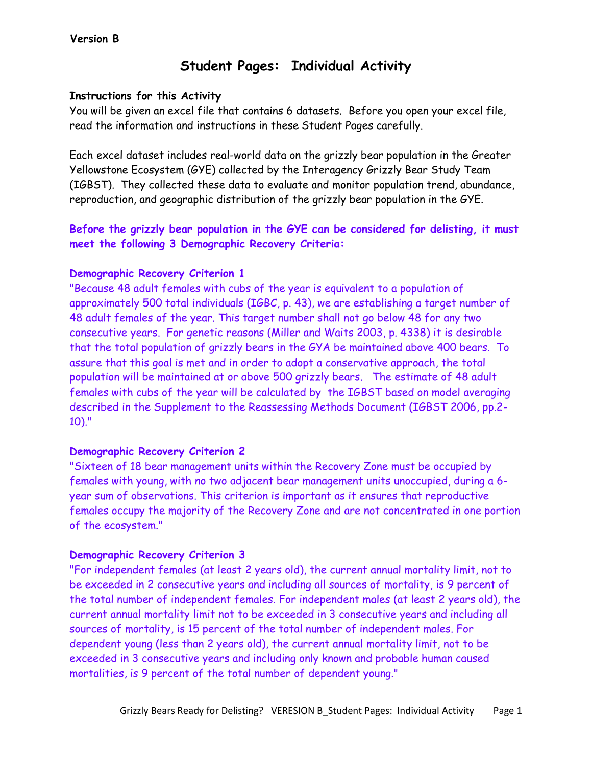# **Student Pages: Individual Activity**

### **Instructions for this Activity**

You will be given an excel file that contains 6 datasets. Before you open your excel file, read the information and instructions in these Student Pages carefully.

Each excel dataset includes real-world data on the grizzly bear population in the Greater Yellowstone Ecosystem (GYE) collected by the Interagency Grizzly Bear Study Team (IGBST). They collected these data to evaluate and monitor population trend, abundance, reproduction, and geographic distribution of the grizzly bear population in the GYE.

# **Before the grizzly bear population in the GYE can be considered for delisting, it must meet the following 3 Demographic Recovery Criteria:**

## **Demographic Recovery Criterion 1**

"Because 48 adult females with cubs of the year is equivalent to a population of approximately 500 total individuals (IGBC, p. 43), we are establishing a target number of 48 adult females of the year. This target number shall not go below 48 for any two consecutive years. For genetic reasons (Miller and Waits 2003, p. 4338) it is desirable that the total population of grizzly bears in the GYA be maintained above 400 bears. To assure that this goal is met and in order to adopt a conservative approach, the total population will be maintained at or above 500 grizzly bears. The estimate of 48 adult females with cubs of the year will be calculated by the IGBST based on model averaging described in the Supplement to the Reassessing Methods Document (IGBST 2006, pp.2- 10)."

#### **Demographic Recovery Criterion 2**

"Sixteen of 18 bear management units within the Recovery Zone must be occupied by females with young, with no two adjacent bear management units unoccupied, during a 6 year sum of observations. This criterion is important as it ensures that reproductive females occupy the majority of the Recovery Zone and are not concentrated in one portion of the ecosystem."

## **Demographic Recovery Criterion 3**

"For independent females (at least 2 years old), the current annual mortality limit, not to be exceeded in 2 consecutive years and including all sources of mortality, is 9 percent of the total number of independent females. For independent males (at least 2 years old), the current annual mortality limit not to be exceeded in 3 consecutive years and including all sources of mortality, is 15 percent of the total number of independent males. For dependent young (less than 2 years old), the current annual mortality limit, not to be exceeded in 3 consecutive years and including only known and probable human caused mortalities, is 9 percent of the total number of dependent young."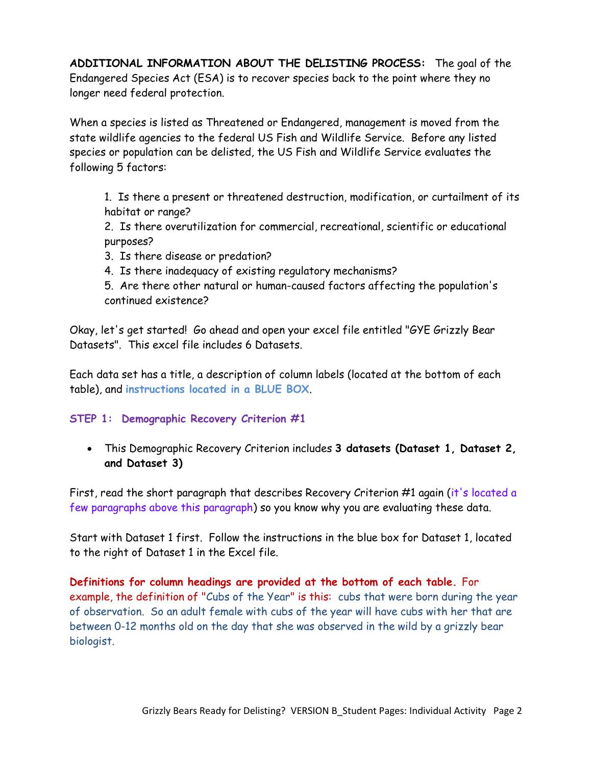**ADDITIONAL INFORMATION ABOUT THE DELISTING PROCESS:** The goal of the Endangered Species Act (ESA) is to recover species back to the point where they no longer need federal protection.

When a species is listed as Threatened or Endangered, management is moved from the state wildlife agencies to the federal US Fish and Wildlife Service. Before any listed species or population can be delisted, the US Fish and Wildlife Service evaluates the following 5 factors:

1. Is there a present or threatened destruction, modification, or curtailment of its habitat or range?

2. Is there overutilization for commercial, recreational, scientific or educational purposes?

- 3. Is there disease or predation?
- 4. Is there inadequacy of existing regulatory mechanisms?

5. Are there other natural or human-caused factors affecting the population's continued existence?

Okay, let's get started! Go ahead and open your excel file entitled "GYE Grizzly Bear Datasets". This excel file includes 6 Datasets.

Each data set has a title, a description of column labels (located at the bottom of each table), and **instructions located in a BLUE BOX**.

## **STEP 1: Demographic Recovery Criterion #1**

 This Demographic Recovery Criterion includes **3 datasets (Dataset 1, Dataset 2, and Dataset 3)**

First, read the short paragraph that describes Recovery Criterion #1 again (it's located a few paragraphs above this paragraph) so you know why you are evaluating these data.

Start with Dataset 1 first. Follow the instructions in the blue box for Dataset 1, located to the right of Dataset 1 in the Excel file.

**Definitions for column headings are provided at the bottom of each table.** For example, the definition of "Cubs of the Year" is this: cubs that were born during the year of observation. So an adult female with cubs of the year will have cubs with her that are between 0-12 months old on the day that she was observed in the wild by a grizzly bear biologist.